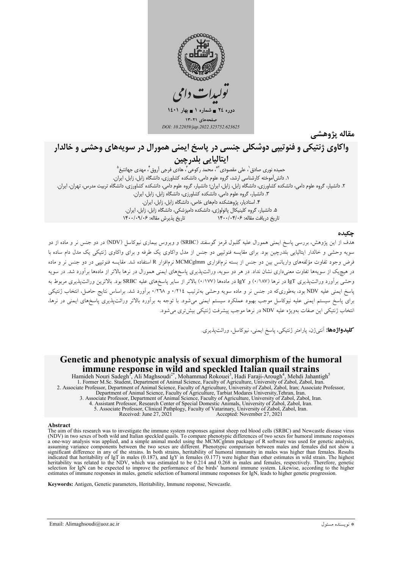

مقاله پژوهشے

# واکاوي ژنتيکي و فنوتيپي دوشکلي جنسي در پاسخ ايمني همورال در سويههاي وحشي و خالدار اپتاليايي بلدرچين

۔<br>حمیدہ نوری صادق ٰ، علی مقصودی ٔ ؓ، محمد رکوعی ؓ، ہادی فرجی اَروق ؓ، مھدی جھانتیغ ؓ<br>۱. دانش|موخته کارشناسی ارشد، گروہ علوم دامی، دانشکدہ کشاورزی، دانشگاہ زابل، زابل، ایران. ۲. دانشیار، گروه علوم دامی، دانشکده کشاورزی، دانشگاه زابل، زابل، ایران؛ دانشیار، گروه علوم دامی، دانشکده کشاورزی، دانشگاه تربیت مدرس، تهران، ایران. ٣. دانشیار، گروه علوم دامی، دانشکده کشاورزی، دانشگاه زابل، زابل، ایران. ۴. استادیار، پژوهشکده دامهای خاص، دانشگاه زابل، زابل، ایران. ۵. دانشیار، گروه کلینیکال پاتولوژی، دانشکده دامپزشکی، دانشگاه زابل، زابل، ایران. تاریخ دریافت مقاله: ۱۴۰۰/۰۴/۰۶ تاريخ پذيرش مقاله: ١۴٠٠/٠٩/٠۶

## حكىدە

.<br>هدف از این پژوهش، بررسی پاسخ ایمنی همورال علیه گلبول قرمز گوسفند (SRBC) و ویروس بیماری نیوکاسل (NDV) در دو جنس نر و ماده از دو سویه وحشی و خالدار ایتالیایی بلدرچین بود. برای مقایسه فنوتیپی دو جنس از مدل واکاوی یک طرفه و برای واکاوی ژنتیکی یک مدل دام ساده با فرض وجود تفاوت مؤلفههای واریانس بین دو جنس از بسته نرمافزاری MCMCglmm نرمافزار R استفاده شد. مقایسه فنوتیپی در دو جنس نر و ماده در هیچیک از سویهها تفاوت معنیداری نشان نداد. در هر دو سویه، وراثتپذیری پاسخهای ایمنی همورال در نرها بالاتر از مادهها برآورد شد. در سویه وحشي برآورد وراثتپذيري IgT در نرها (١٨٧/٠) و IgY در مادهها (١٧٧٧) بالاتر از ساير پاسخهاي عليه SRBC بود. بالاترين وراثتپذيري مربوط به پاسخ ایمنی علیه NDV بود، بهطوریکه در جنس نر و ماده سویه وحشی بهترتیب ۰/۲۱٤ و ۰/۳۱۸ برآورد شد. براساس نتایج حاصل، انتخاب ژنتیکی برای پاسخ سیستم ایمنی علیه نیوکاسل موجب بهبود عملکرد سیستم ایمنی می شود. با توجه به برآورد بالاتر وراثتپذیری پاسخهای ایمنی در نرها، انتخاب ژنتیکی این صفات بهویژه علیه NDV در نرها موجب پیشرفت ژنتیکی بیش تری می شود.

كليدواژهها: آنتيژن، پارامتر ژنتيكي، پاسخ ايمني، نيوكاسل، وراثتيذيري.

## Genetic and phenotypic analysis of sexual dimorphism of the humoral immune response in wild and speckled Italian quail strains

Hamideh Nouri Sadegh<sup>1</sup>, Ali Maghsoudi<sup>2</sup><sup>\*</sup>, Mohammad Rokouei<sup>3</sup>, Hadi Faraji-Arough<sup>4</sup>, Mehdi Jahantigh<sup>4</sup><br>1. Former M.Sc. Student, Department of Animal Science, Faculty of Agriculture, University of Zabol, Zabol, Iran. 2. Associate Professor, Department of Animal Science, Faculty of Agriculture, University of Zabol, Zabol, Iran; Associate Professor,<br>Department of Animal Science, Faculty of Agriculture, University of Zabol, Zabol, Iran; A 3. Associate Professor, Department of Animal Science, Faculty of Agriculture, University of Zabol, Zabol, Iran.<br>4. Assistant Professor, Research Center of Special Domestic Animals, University of Zabol, Zabol, Iran. 5. Associate Professor, Clinical Pathplogy, Faculty of Vatarinary, University of Zabol, Zabol, Iran.<br>5. Associate Professor, Clinical Pathplogy, Faculty of Vatarinary, University of Zabol, Zabol, Iran.<br>Received: June 27, 2

#### Abstract

The aim of this research was to investigate the immune system responses against sheep red blood cells (SRBC) and Newcastle disease virus (NDV) in two sexes of both wild and Italian speckled quails. To compare phenotypic differences of two sexes for humoral immune responses a one-way analysis was applied, and a simple animal model using the MCMCglmm package assuming variance components between the two sexes are different. Phenotypic comparison between males and females did not show a significant difference in any of the strains. In both strains, heritability of humoral immunity in males was higher than females. Results significant direction any of the status. In both status, incruably of numbers when the halo state in an elected to the NDV, which was estimated to be 0.214 and 0.268 in males was figure than elected to the NDV, which was e

Keywords: Antigen, Genetic parameters, Heritability, Immune response, Newcastle.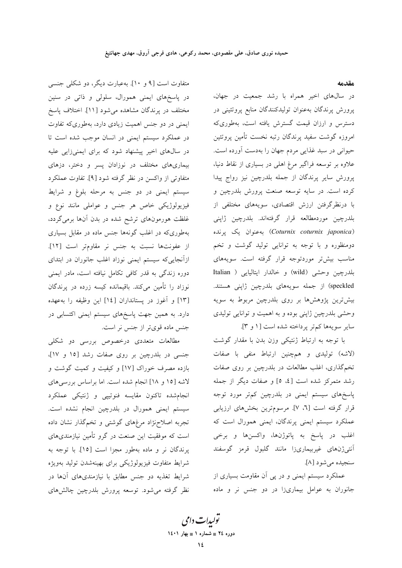مقدمه

در سالهای اخیر همراه با رشد جمعیت در جهان، پرورش پرندگان بهعنوان تولیدکنندگان منابع پروتئینی در دسترس و ارزان قیمت گسترش یافته است، بهطوریکه امروزه گوشت سفيد پرندگان رتبه نخست تأمين پروتئين حیوانی در سبد غذایی مردم جهان را بهدست آورده است. علاوه بر توسعه فراگیر مرغ اهلی در بسیاری از نقاط دنیا، پرورش سایر پرندگان از جمله بلدرچین نیز رواج پیدا کرده است. در سایه توسعه صنعت پرورش بلدرچین و با درنظرگرفتن ارزش اقتصادی، سویههای مختلفی از بلدرچین موردمطالعه قرار گرفتهاند. بلدرچین ژاپنی (Coturnix coturnix japonica) به عنوان یک پرنده دومنظوره و با توجه به توانایی تولید گوشت و تخم مناسب بیشتر موردتوجه قرار گرفته است. سویههای بلدرچين وحشى (wild) و خالدار ايتاليايي ( Italian speckled) از جمله سويههاى بلدرچين ژاپنى هستند. بیشتررین پژوهشها بر روی بلدرچین مربوط به سویه وحشی بلدرچین ژاپنی بوده و به اهمیت و توانایی تولیدی سایر سویهها کم تر پرداخته شده است [۱ و ۳].

با توجه به ارتباط ژنتیکی وزن بدن با مقدار گوشت (لاشه) تولیدی و همچنین ارتباط منفی با صفات تخم گذاری، اغلب مطالعات در بلدرچین بر روی صفات رشد متمرکز شده است [٤، ٥] و صفات دیگر از جمله پاسخهای سیستم ایمنی در بلدرچین کمتر مورد توجه قرار گرفته است [٦، ٧]. مرسومترين بخشهاى ارزيابي عملکرد سیستم ایمنی پرندگان، ایمنی همورال است که اغلب در پاسخ به پاتوژنها، واکسنها و برخی آنتى ژنهاى غيربيمارىزا مانند گلبول قرمز گوسفند سنجيده مي شو د [٨].

عملکرد سیستم ایمنی و در پی آن مقاومت بسیاری از جانوران به عوامل بیماریزا در دو جنس نر و ماده

متفاوت است [۹ و ۱۰]. بهعبارت دیگر، دو شکلی جنسی در پاسخهای ایمنی همورال، سلول<sub>ی</sub> و ذات<sub>ی</sub> در سنین مختلف در پرندگان مشاهده میشود [۱۱]. اختلاف پاسخ ایمنی در دو جنس اهمیت زیادی دارد، بهطوریکه تفاوت در عملکرد سیستم ایمنی در انسان موجب شده است تا در سالهای اخیر پیشنهاد شود که برای ایمنیزایی علیه بیماریهای مختلف در نوزادان پسر و دختر، دزهای متفاوتی از واکسن در نظر گرفته شود [۹]. تفاوت عملکرد سیستم ایمنی در دو جنس به مرحله بلوغ و شرایط فیزیولوژیکی خاص هر جنس و عواملی مانند نوع و غلظت هورمونهای ترشح شده در بدن آنها برم*ی گ*ردد، بهطوریکه در اغلب گونهها جنس ماده در مقابل بسیاری از عفونتها نسبت به جنس نر مقاومتر است [١٢]. ازآنجاییکه سیستم ایمنی نوزاد اغلب جانوران در ابتدای دوره زندگی به قدر کافی تکامل نیافته است، مادر ایمنی نوزاد را تأمین میکند. باقیمانده کیسه زرده در پرندگان [۱۳] و آغوز در پستانداران [۱٤] این وظیفه را بهعهده دارد. به همین جهت پاسخهای سیستم ایمنی اکتسابی در جنس ماده قویتر از جنس نر است.

مطالعات متعددی درخصوص بررسی دو شکلی جنسی در بلدرچین بر روی صفات رشد [۱۵ و ۱۷]، بازده مصرف خوراک [۱۷] و کیفیت و کمیت گوشت و لاشه [۱۵ و ۱۸] انجام شده است. اما براساس بررسیهای انجامشده تاكنون مقايسه فنوتيپي و ژنتيكي عملكرد سیستم ایمنی همورال در بلدرچین انجام نشده است. تجربه اصلاحزاد مرغهای گوشتی و تخمگذار نشان داده است که موفقیت این صنعت در گرو تأمین نیازمندیهای پرندگان نر و ماده بهطور مجزا است [۱۵]. با توجه به شرایط متفاوت فیزیولوژیکی برای بهینهشدن تولید بهویژه شرایط تغذیه دو جنس مطابق با نیازمندیهای آنها در نظر گرفته می شود. توسعه پرورش بلدرچین چالشهای

تو*لیدات دامی* دوره ٢٤ = شماره ١ = بهار ١٤٠١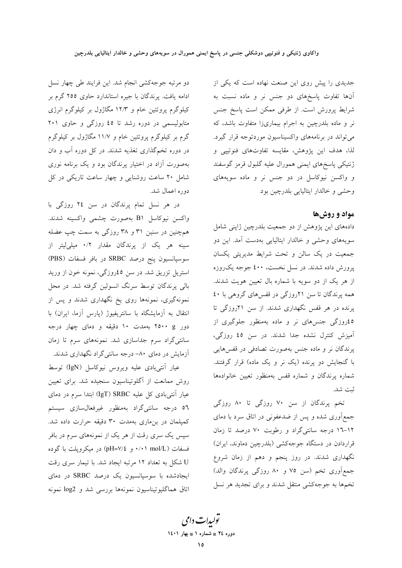جدیدی را پیش روی این صنعت نهاده است که یکی از آنها تفاوت پاسخهای دو جنس نر و ماده نسبت به شرایط پرورش است. از طرفی ممکن است پاسخ جنس نر و ماده بلدرچین به اجرام بیماریزا متفاوت باشد، که مي تواند در برنامههاي واكسيناسيون موردتوجه قرار گيرد. لذا، هدف این پژوهش، مقایسه تفاوتهای فنوتیپی و ژنتیکی پاسخهای ایمنی همورال علیه گلبول قرمز گوسفند و واکسن نیوکاسل در دو جنس نر و ماده سویههای وحشى وخالدار ايتاليايي بلدرچين بود

## مواد و روشها

دادههای این پژوهش از دو جمعیت بلدرچین ژاپنی شامل سویههای وحشی و خالدار ایتالیایی بهدست آمد. این دو جمعیت در یک سالن و تحت شرایط مدیریتی یکسان پرورش داده شدند. در نسل نخست، ٤٠٠ جوجه يک روزه از هر یک از دو سویه با شماره بال تعیین هویت شدند. همه پرندگان تا سن ٢١روزگی در قفسهای گروهی با ٤٠ پرنده در هر قفس نگهداری شدند. از سن ۲۱روزگی تا ٤٥روزگی جنسهای نر و ماده بهمنظور جلوگیری از آمیزش کنترل نشده جدا شدند. در سن ٤٥ روزگی، پرندگان نر و ماده جنس بهصورت تصادفی در قفسهایی با گنجایش دو پرنده (یک نر و یک ماده) قرار گرفتند. شماره پرندگان و شماره قفس بهمنظور تعیین خانوادهها ثبت شد.

تخم پرندگان از سن ۷۰ روزگی تا ۸۰ روزگی جمع آوری شده و پس از ضدعفونی در اتاق سرد با دمای ۱۲-۱۲ درجه سانتیگراد و رطوبت ۷۰ درصد تا زمان قراردادن در دستگاه جوجهکشی (بلدرچین دماوند، ایران) نگهداری شدند. در روز پنجم و دهم از زمان شروع جمع آوری تخم (سن ٧٥ و ٨٠ روزگي پرندگان والد) تخمها به جوجهکشی منتقل شدند و برای تجدید هر نسل

دو مرتبه جوجهکشی انجام شد. این فرایند طی چهار نسل ادامه یافت. پرندگان با جیره استاندارد حاوی ۲۵۵ گرم بر کیلوگرم پروتئین خام و ۱۲/۳ مگاژول بر کیلوگرم انرژی متابولیسمی در دوره رشد تا ٤٥ روزگی و حاوی ٢٠١ گرم بر کیلوگرم پروتئین خام و ۱۱/۷ مگاژول بر کیلوگرم در دوره تخمگذاری تغذیه شدند. در کل دوره أب و دان بهصورت آزاد در اختیار پرندگان بود و یک برنامه نوری شامل ۲۰ ساعت روشنایی و چهار ساعت تاریکی در کل دوره اعمال شد.

در هر نسل تمام پرندگان در سن ٢٤ روزگی با واكسن نيوكاسل B۱ بهصورت چشمى واكسينه شدند. همچنین در سنین ۳۱ و ۳۸ روزگی به سمت چپ عضله سینه هر یک از پرندگان مقدار ۰/۲ میلیلیتر از سوسپانسیون پنج درصد SRBC در بافر فسفات (PBS) استریل تزریق شد. در سن ٤٥روزگی، نمونه خون از ورید بالی پرندگان توسط سرنگ انسولین گرفته شد. در محل نمونهگیری، نمونهها روی یخ نگهداری شدند و پس از انتقال به آزمایشگاه با سانتریفیوژ (پارس آزما، ایران) با دور ۲۵۰۰ g بهمدت ۱۰ دقیقه و دمای چهار درجه سانتیگراد سرم جداسازی شد. نمونههای سرم تا زمان آزمایش در دمای ۸۰– درجه سانتیگراد نگهداری شدند.

عیار آنتیبادی علیه ویروس نیوکاسل (IgN) توسط روش ممانعت از آگلوتیناسیون سنجیده شد. برای تعیین عیار آنتی بادی کل علیه IgT) SRBC) ابتدا سرم در دمای ٥٦ درجه سانتىگراد بهمنظور غيرفعالسازى سيستم کمیلمان در بنِ ماری بهمدت ۳۰ دقیقه حرارت داده شد. سپس یک سری رقت از هر یک از نمونههای سرم در بافر فسفات (mol/L) ۰/۰۱ و pH=۷/٤) در میکرویلت با گوده U شکل به تعداد ۱۲ مرتبه ایجاد شد. با تیمار سری رقت ایجادشده با سوسیانسیون یک درصد SRBC در دمای اتاق هماگليوتيناسيون نمونهها بررسي شد و log2 نمونه

تولیدات دامی دوره ٢٤ = شماره ١ = بهار ١٤٠١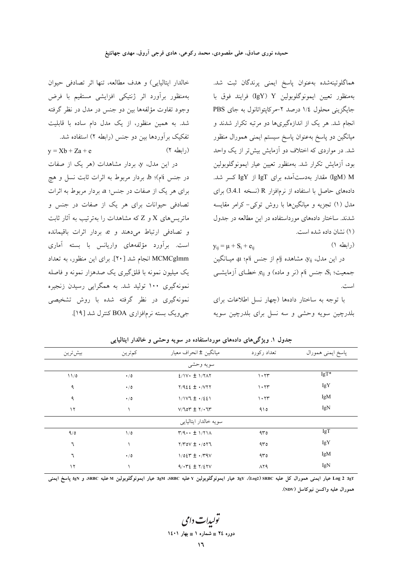هماگلوتینهشده بهعنوان پاسخ ایمنی پرندگان ثبت شد. بهمنظور تعيين ايمونوگلوبولين IgY) Y) فرايند فوق با جایگزینی محلول ۱/٤ درصد ٢-مرکاپتواتانول به جای PBS انجام شد. هر یک از اندازهگیریها دو مرتبه تکرار شدند و میانگین دو پاسخ بهعنوان پاسخ سیستم ایمنی همورال منظور شد. در مواردی که اختلاف دو آزمایش بیش تر از یک واحد بود، آزمایش تکرار شد. بهمنظور تعیین عیار ایمونوگلوبولین IgN) M) مقدار بهدستآمده برای IgT از IgY کسر شد. دادههای حاصل با استفاده از نرمافزار R (نسخه 3.4.1) برای مدل (۱) تجزیه و میانگینها با روش توکی–کرامر مقایسه شدند. ساختار دادههای مورداستفاده در این مطالعه در جدول (١) نشان داده شده است.

 $\mathbf{y}_{ij} = \boldsymbol{\mu} + \mathbf{S}_i + \mathbf{e}_{ij}$  $($ ابطه ۱) در این مدل، y<sub>ij،</sub> مشاهده jjم از جنس ji، په میــانگین جمعیت؛ S<sub>i،</sub> جنس jام (نر و ماده) و e<sub>ij.</sub> خطـای آزمایشــی است.

با توجه به ساختار دادهها (چهار نسل اطلاعات برای بلدرچين سويه وحشى و سه نسل براى بلدرچين سويه

| بهمنظور برأورد اثر ژنتيكي افزايشي مستقيم با فرض                 |
|-----------------------------------------------------------------|
| وجود تفاوت مؤلفهها بین دو جنس در مدل در نظر گرفته               |
| شد. به همین منظور، از یک مدل دام ساده با قابلیت                 |
| تفکیک برآوردها بین دو جنس (رابطه ۲) استفاده شد.                 |
| (رابطه ۲)<br>$y = Xb + Za + e$                                  |
| در این مدل، y، بردار مشاهدات (هر یک از صفات                     |
| در جنس b؛ b، بردار مربوط به اثرات ثابت نسل و هیج                |
| برای هر یک از صفات در جنس؛ a، بردار مربوط به اثرات              |
| تصادفی حیوانات برای هر یک از صفات در جنس و                      |
| ماتریسهای X و Z که مشاهدات را بهترتیب به آثار ثابت              |
| و تصادفی ارتباط می <mark>دهند و e، بردار اثرات باقیمانده</mark> |
| است. برآورد مؤلفههای واریانس با بسته آماری                      |
| MCMCglmm انجام شد [ ۲۰]. برای این منظور، به تعداد               |
| یک میلیون نمونه با قلقگیری یک صدهزار نمونه و فاصله              |
| نمونهگیری ۱۰۰ تولید شد. به همگرایی رسیدن زنجیره                 |
| نمونهگیری در نظر گرفته شده با روش تشخیص <i>ی</i>                |
| جرویک بسته نرمافزاری BOA کنترل شد [۱۹].                         |

خالدار ايتاليايي) و هدف مطالعه، تنها اثر تصادفي حيوان

| بيش ترين | كمترين        | میانگین ± انحراف معیار              | تعداد ركورد  | پاسخ ايمني همورال |
|----------|---------------|-------------------------------------|--------------|-------------------|
|          |               | سويه وحشى                           |              |                   |
| 11/0     | $\cdot/0$     | $2/1V \cdot \pm 1/7\Lambda$         | 1.77         | IgT*              |
| ٩        | $\cdot/0$     | $Y/922 \pm 1.777$                   | 1.77         | IgY               |
| ٩        | $\cdot/0$     | $1/1$ $V$ $1 \pm 1/221$             | 1.77         | IgM               |
| $\gamma$ |               | $V/70Y \pm Y/77Y$                   | 910          | IgN               |
|          |               | سويه خالدار ايتاليايي               |              |                   |
| 9/0      | $\frac{1}{2}$ | $\Upsilon/9 \cdots \pm 1/71 \wedge$ | 400          | IgT               |
| ٦        |               | $Y/Y$ ov $\pm$ $\cdot$ /077         | 400          | IgY               |
| ٦        | $\cdot/0$     | $1/02r \pm 1.79V$                   | 400          | IgM               |
| $\gamma$ |               | $9/172 \pm 7/27V$                   | $\Lambda$ ۲۹ | IgN               |

جدول ۱. ویژگی های دادههای مورداستفاده در سویه وحشی و خالدار ایتالیایی

ag Log 2 عيار ايمني همورال كل عليه JgY (Log2)SRBC). عيار ايمونوگلوبولين Y عليه IgM SRBC و. عيار ايمونوگلوبولين M عليه SRBC، و SgI ياسخ ايمني همورال عليه واكسن نيوكاسل (NDV).

توں ات دامی دوره ٢٤ = شماره ١ = بهار ١٤٠١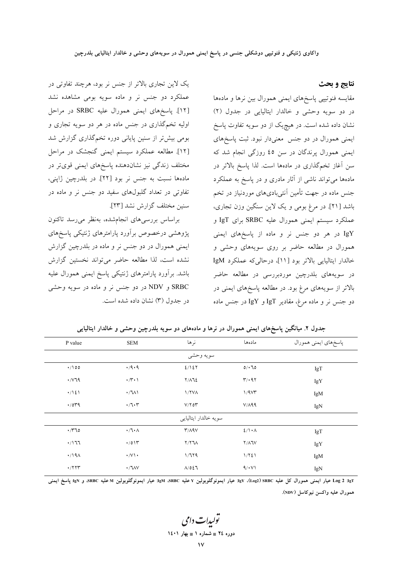نتايج و بحث

مقايسه فنوتيپي پاسخهای ايمنی همورال بين نرها و مادهها در دو سویه وحشی و خالدار ایتالیایی در جدول (۲) نشان داده شده است. در هیچیک از دو سویه تفاوت پاسخ ایمنی همورال در دو جنس معنیدار نبود. ثبت پاسخهای ایمنی همورال پرندگان در سن ٤٥ روزگی انجام شد که سن آغاز تخمگذاری در مادهها است. لذا پاسخ بالاتر در مادهها میتواند ناشی از آثار مادری و در پاسخ به عملکرد جنس ماده در جهت تأمین آنتیبادیهای موردنیاز در تخم باشد [۲۱]. در مرغ بومی و یک لاین سنگین وزن تجاری، عملكرد سيستم ايمني همورال عليه SRBC براي IgT و IgY در هر دو جنس نر و ماده از پاسخهای ایمنی همورال در مطالعه حاضر بر روی سویههای وحشی و خالدار ایتالیایی بالاتر بود [11]، درحالی که عملکرد IgM در سويههاي بلدرچين موردبررسي در مطالعه حاضر بالاتر از سویههای مرغ بود. در مطالعه پاسخهای ایمنی در دو جنس نر و ماده مرغ، مقادیر IgT و IgY در جنس ماده

| یک لاین تجاری بالاتر از جنس نر بود، هرچند تفاوتی در |
|-----------------------------------------------------|
| عملکرد دو جنس نر و ماده سویه بومی مشاهده نشد        |
| [۱۲]. پاسخهای ایمنی همورال علیه SRBC در مراحل       |
| اولیه تخمگذاری در جنس ماده در هر دو سویه تجاری و    |
| بومی بیش تر از سنین پایانی دوره تخمگذاری گزارش شد   |
| [۱۲]. مطالعه عملکرد سیستم ایمنی گنجشک در مراحل      |
| مختلف زندگی نیز نشاندهنده پاسخهای ایمنی قویتر در    |
| مادهها نسبت به جنس نر بود [۲۲]. در بلدرچین ژاپنی،   |
| تفاوتی در تعداد گلبولهای سفید دو جنس نر و ماده در   |
| سنين مختلف گزارش نشد [٢٣].                          |

براساس بررسىهاى انجامشده، بهنظر مىرسد تاكنون یژوهشی درخصوص برأورد پارامترهای ژنتیکی پاسخهای ایمنی همورال در دو جنس نر و ماده در بلدرچین گزارش نشده است، لذا مطالعه حاضر مي تواند نخستين گزارش باشد. برأورد پارامترهای ژنتیکی پاسخ ایمنی همورال علیه SRBC و NDV در دو جنس نر و ماده در سویه وحشی در جدول (۳) نشان داده شده است.

| P value                 | <b>SEM</b>                 | نرها              | مادەھا                                  | پاسخهاي ايمني همورال |  |  |  |  |  |
|-------------------------|----------------------------|-------------------|-----------------------------------------|----------------------|--|--|--|--|--|
| سويه وحشى               |                            |                   |                                         |                      |  |  |  |  |  |
| $\cdot$ /100            | $\cdot$ /9 $\cdot$ 9       | 2/127             | 0/170                                   | IgT                  |  |  |  |  |  |
| $\cdot$ / $\vee$ 79     | $\cdot$ / $\cdot$ )        | $Y/\Lambda$       | $\mathbf{r}/\cdot \mathbf{q}\mathbf{r}$ | IgY                  |  |  |  |  |  |
| $\cdot/\lambda\epsilon$ | $\cdot /711$               | 1/7VA             | 1/9Vr                                   | IgM                  |  |  |  |  |  |
| $\cdot$ /0۳9            | $\cdot$ /7 $\cdot$ $\cdot$ | $V/Y$ or          | V/A99                                   | IgN                  |  |  |  |  |  |
|                         | سويه خالدار ايتاليايي      |                   |                                         |                      |  |  |  |  |  |
| $\cdot$ / $70$          | $\cdot$ /٦ $\cdot$ Λ       | $Y/\Lambda$ 9 $V$ | $2/\lambda \cdot \Lambda$               | IgT                  |  |  |  |  |  |
| $\cdot$ /177            | $\cdot$ /01۳               | $Y/Y$ JA          | $Y/\Lambda$                             | IgY                  |  |  |  |  |  |
| $\cdot$ /19 $\wedge$    | $\cdot/\vee\cdot$          | 1/779             | 1/721                                   | IgM                  |  |  |  |  |  |
| $\cdot$ /۲۲۳            | $\cdot$ / $\sqrt{V}$       | $\Lambda/027$     | 9/11                                    | IgN                  |  |  |  |  |  |

جدول ۲. میانگین پاسخهای ایمنی همورال در نرها و مادههای دو سویه بلدرچین وحشی و خالدار ایتالیایی

IgT عيار ايمني همورال كل عليه IgY (Log2)SRBC عيار ايمونوگلوبولين Y عليه IgM ،SRBC عيار ايمونوگلوبولين M عليه SRBC، و IgN، پاسخ ايمني همورال عليه واكسن نبوكاسل (NDV).

تو<sub>لیدا</sub>ت دامی دوره ٢٤ = شماره ١ = بهار ١٤٠١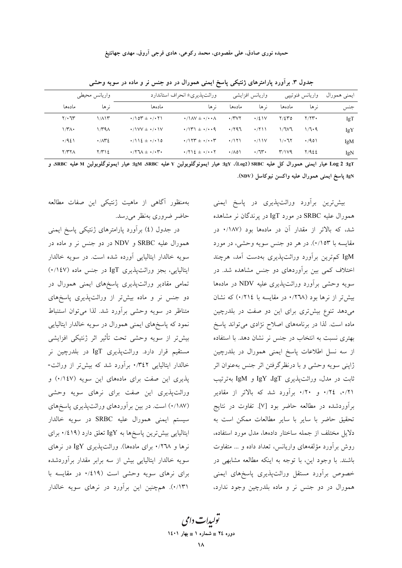حمیده نوری صادق، علی مقصودی، محمد رکوعی، هادی فرجی آروق، مهدی جهانتیغ

| واريانس محيطي        |              | وراثت پذیر ی± انحراف استاندار د                                                                  |                                                                                      | واریانس افزایشی                |                     | واريانس فنوتيپي         |       | ايمني همورال |  |
|----------------------|--------------|--------------------------------------------------------------------------------------------------|--------------------------------------------------------------------------------------|--------------------------------|---------------------|-------------------------|-------|--------------|--|
| مادەھا               | نہ ھا        | مادەھا                                                                                           | نہ ھا                                                                                | مادەھا                         | نہ ھا               | مادەھا                  | نہ ھا | جنس          |  |
| $Y/\cdot T$          | $1/\lambda$  |                                                                                                  | $\cdot$ / $\lambda$ $\lambda$ $\pm$ $\cdot$ / $\cdot$ $\lambda$                      | $\cdot$ / $\vee$ $\vee$ $\vee$ | $\cdot$ /2 \ V      | $Y/\Sigma Y_0$          | Y/YY  | IgT          |  |
| $\mathcal{M}^{\ast}$ | ۱۳۹۸.        | $\cdot$ / $VV + \cdot$ / $\cdot$ $V$                                                             | $\cdot$ /1۳1 $\pm$ $\cdot$ / $\cdot$ $\cdot$ 9                                       | .797                           | $\cdot$ /۲۱۱        | 1/7V7                   | 1/7.9 | IgY          |  |
| $\cdot$ /921         | $\cdot$ /1۳٤ | $\cdot$ /112 $\pm$ $\cdot$ / $\cdot$ 10                                                          | $\cdot$ / $\uparrow$ $\uparrow$ $\uparrow$ $\downarrow$ $\cdot$ / $\cdot$ $\uparrow$ | $\cdot$ /\\\                   |                     | 1/27                    | .7901 | IgM          |  |
| $Y/YY\Lambda$        | ۲/۳۱٤        | $\cdot$ $/$ $\uparrow$ $\uparrow$ $\uparrow$ $\downarrow$ $\cdot$ $/$ $\cdot$ $\uparrow$ $\cdot$ | $\cdot$ /۲۱٤ $\pm$ $\cdot$ / $\cdot$ $\cdot$ $\cdot$                                 | $\cdot$ /10)                   | $\cdot$ / 1 $\cdot$ | $\mathbf{r}/\mathbf{v}$ | 7/922 | IgN          |  |

جدول ۳. برآورد پارامترهای ژنتیکی پاسخ ایمنی همورال در دو جنس نر و ماده در سویه وحشی

Log 2 :IgT عيار ايمنى همورال كل عليه IgY (Log2) SRBC عيار ايمونوگلوبولين Y عليه IgM SRBC عيار ايمونوگلوبولين M عليه SRBC، و IgN: پاسخ ايمنى همورال عليه واكسن نيوكاسل (NDV).

> بیش ترین برآورد وراثتپذیری در پاسخ ایمنی همورال عليه SRBC در مورد IgT در يرندگان نر مشاهده شد، که بالاتر از مقدار آن در مادهها بود (۱۸۷/۰ در مقايسه با ١٥٣٪). در هر دو جنس سويه وحشي، در مورد IgM کم ترین برآورد وراثت پذیری بهدست آمد، هرچند اختلاف کمی بین برآوردهای دو جنس مشاهده شد. در سویه وحشی برآورد وراثتپذیری علیه NDV در مادهها بیشتر از نرها بود (۲۹۸/۰ در مقایسه با ۰/۲۱٤) که نشان میدهد تنوع بیشتری برای این دو صفت در بلدرچین ماده است. لذا در برنامههای اصلاح نژادی می تواند پاسخ بهتری نسبت به انتخاب در جنس نر نشان دهد. با استفاده از سه نسل اطلاعات پاسخ ایمنی همورال در بلدرچین ژاپنی سویه وحشی و با درنظرگرفتن اثر جنس بهعنوان اثر ثابت در مدل، وراثتپذیری IgY ،IgT و IgM بهترتیب ۰/۲۱، ۰/۲٤ و ۰/۲۰ برآورد شد که بالاتر از مقادیر برآوردشده در مطالعه حاضر بود [۷]. تفاوت در نتایج تحقیق حاضر با سایر با سایر مطالعات ممکن است به دلایل مختلف از جمله ساختار دادهها، مدل مورد استفاده، روش برآورد مؤلفههای واریانس، تعداد داده و ... متفاوت باشند. با وجود این، با توجه به اینکه مطالعه مشابهی در خصوص برأورد مستقل وراثت پذیری پاسخهای ایمنی همورال در دو جنس نر و ماده بلدرچین وجود ندارد،

بهمنظور آگاهی از ماهیت ژنتیکی این صفات مطالعه حاضر ضروري بهنظر مي رسد.

در جدول (٤) برآورد پارامترهای ژنتیکی پاسخ ایمنی همورال عليه SRBC و NDV در دو جنس نر و ماده در سويه خالدار ايتاليايي آورده شده است. در سويه خالدار ایتالیایی، بجز وراثتپذیری IgT در جنس ماده (۰/۱٤۷) تمامی مقادیر وراثتپذیری پاسخهای ایمنی همورال در دو جنس نر و ماده بیشتر از وراثتپذیری پاسخهای متناظر در سويه وحشى برآورد شد. لذا مى توان استنباط نمود که پاسخهای ایمنی همورال در سویه خالدار ایتالیایی بيش تر از سويه وحشى تحت تأثير اثر ژنتيكي افزايشي مستقیم قرار دارد. وراثتپذیری IgT در بلدرچین نر خالدار ایتالیایی ۰/۳٤۲ برآورد شد که بیشتر از وراثت-پذیری این صفت برای مادههای این سویه (١١٤٧) و وراثتپذیری این صفت برای نرهای سویه وحشی (۱۸۷/۰) است. در بین برآوردهای وراثتپذیری پاسخهای سیستم ایمنی همورال علیه SRBC در سویه خالدار ایتالیایی بیش ترین پاسخها به IgY تعلق دارد (۱۹٪۰ برای نرها و ۰/۲٦۸ برای مادهها). وراثتپذیری IgY در نرهای سویه خالدار ایتالیایی بیش از سه برابر مقدار برآوردشده برای نرهای سویه وحشی است (۱۹٪۰ در مقایسه با ۰/۱۳۱). همچنین این برآورد در نرهای سویه خالدار

تو<sub>لیدا</sub>ت دامی دوره ٢٤ = شماره ١ = بهار ١٤٠١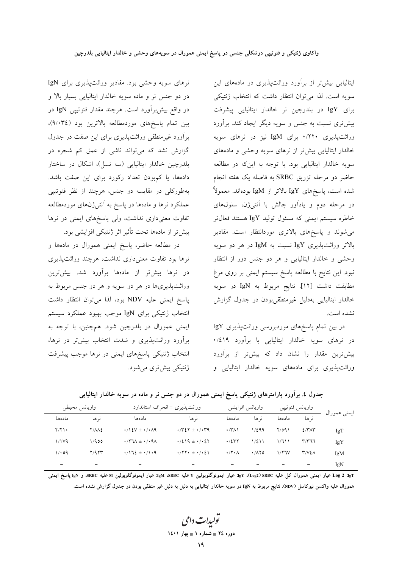ایتالیایی بیش تر از برآورد وراثتپذیری در مادههای این سويه است. لذا مي توان انتظار داشت كه انتخاب ژنتيكي برای IgY در بلدرچین نر خالدار ایتالیایی پیشرفت بیشتری نسبت به جنس و سویه دیگر ایجاد کند. برآورد وراثت یذیری ۰/۲۲۰ برای IgM نیز در نرهای سویه خالدار ایتالیایی بیش تر از نرهای سویه وحشی و مادههای سويه خالدار ايتاليايي بود. با توجه به اين كه در مطالعه حاضر دو مرحله تزريق SRBC به فاصله يک هفته انجام شده است، پاسخهای IgY بالاتر از IgM بودهاند. معمولاً در مرحله دوم و یادآور چالش با آنتیژن، سلولهای خاطره سیستم ایمنی که مسئول تولید IgY هستند فعالتر می شوند و پاسخهای بالاتری موردانتظار است. مقادیر بالاتر وراثتپذیری IgY نسبت به IgM در هر دو سویه وحشی و خالدار ایتالیایی و هر دو جنس دور از انتظار نبود. این نتایح با مطالعه پاسخ سیستم ایمنی بر روی مرغ مطابقت داشت [۱۲]. نتايج مربوط به IgN در سويه خالدار ايتاليايي بهدليل غيرمنطقىبودن در جدول گزارش نشده است.

در بین تمام پاسخهای موردبررسی وراثتپذیری IgY در نرهای سویه خالدار ایتالیایی با برآورد ۰/٤١٩ بیش ترین مقدار را نشان داد که بیش تر از برآورد وراثتپذیری برای مادههای سویه خالدار ایتالیایی و

نرهای سویه وحشی بود. مقادیر وراثتپذیری برای IgN در دو جنس نر و ماده سویه خالدار ایتالیایی بسیار بالا و در واقع بیشبرآورد است. هرچند مقدار فنوتیپی IgN در بین تمام پاسخهای موردمطالعه بالاترین بود (٣٤./٩)، برآورد غیرمنطقی وراثت پذیری برای این صفت در جدول گزارش نشد که میتواند ناشی از عمق کم شجره در بلدرچین خالدار ایتالیایی (سه نسل)، اشکال در ساختار دادهها، یا کمبودن تعداد رکورد برای این صفت باشد. بهطورکلی در مقایسه دو جنس، هرچند از نظر فنوتیپی عملکرد نرها و مادهها در پاسخ به آنتیژنهای موردمطالعه تفاوت معنیداری نداشت، ولی پاسخهای ایمنی در نرها بيش تر از مادهها تحت تأثير اثر ژنتيكي افزايشي بود.

در مطالعه حاضر، پاسخ ایمنی همورال در مادهها و نرها بود تفاوت معنىدارى نداشت، هرچند وراثتپذیری در نرها بیش تر از مادهها برآورد شد. بیش ترین وراثت پذیری ها در هر دو سویه و هر دو جنس مربوط به پاسخ ایمنی علیه NDV بود، لذا میتوان انتظار داشت انتخاب ژنتیکی برای IgN موجب بهبود عملکرد سیستم ایمنی عمورال در بلدرچین شود. همچنین، با توجه به برآورد وراثتپذیری و شدت انتخاب بیشتر در نرها، انتخاب ژنتیکی پاسخهای ایمنی در نرها موجب پیشرفت ژنتیکی بیشتری میشود.

| واريانس محيطي                |              |                                                           | وراثتپذیری ± انحراف استاندارد                  | واریانس افزایشی             |                            | واريانس فنوتيپي |                |              |
|------------------------------|--------------|-----------------------------------------------------------|------------------------------------------------|-----------------------------|----------------------------|-----------------|----------------|--------------|
| مادەھا                       | نہ ھا        | مادەھا                                                    | نہ ھا                                          | مادەھا                      | نہ ھا                      | مادەھا          | نہ ھا          | ايمني همورال |
| Y/Y                          | <b>Y/AAE</b> | $\cdot$ /12V $\pm$ $\cdot$ / $\cdot$ $\wedge$ 9           | $\cdot$ /۳٤٢ $\pm$ $\cdot$ / $\cdot$ ۳۹        | $\cdot$ /۳۸۱                | 1/299                      | Y/091           | 2.77           | IgT          |
| $1/1\gamma$                  | 1/900        | $\cdot$ /۲٦ $\lambda$ $\pm$ $\cdot$ / $\cdot$ ۹ $\lambda$ | $\cdot$ /219 ± $\cdot$ / $\cdot$ 27            | .724                        | 1/211                      | 1/711           | ۳/۳٦٦          | IgY          |
| 1/09                         | Y/9YY        | $\cdot$ /172 $\pm$ $\cdot$ /1 $\cdot$ 9                   | $\cdot$ /۲۲ $\cdot$ $\pm$ $\cdot$ / $\cdot$ 21 | $\cdot$ /۲ $\cdot$ $\wedge$ | $\cdot$ / $\wedge$ $\circ$ | 1/77V           | $Y/V\S\Lambda$ | IgM          |
| $\qquad \qquad \blacksquare$ |              | $\overline{\phantom{0}}$                                  | -                                              | $\overline{\phantom{0}}$    |                            |                 |                | IgN          |

جدول ٤. برأورد پارامترهای ژنتیکی پاسخ ایمنی همورال در دو جنس نر و ماده در سویه خالدار ایتالیایی

IgT عيار ايمني همورال كل عليه IgY (Log2) SRBC عيار ايمونوگلوبولين Y عليه IgM ،SRBC عيار ايمونوگلوبولين M عليه SRBC، و IgN پاسخ ايمني همورال عليه واكسن نيوكاسل (NDV). نتايج مربوط به IgN در سويه خالدار ايتاليايي به دليل به دليل غير منطقي بودن در جدول گزارش نشده است.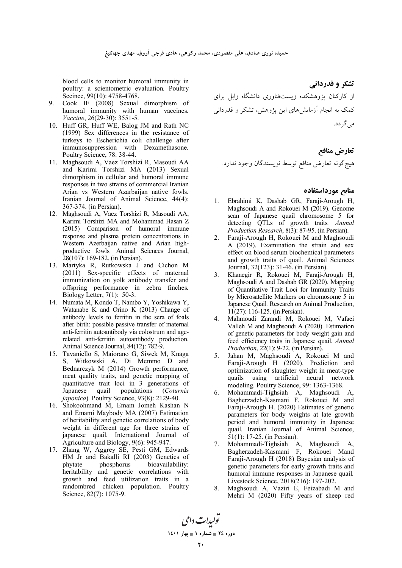blood cells to monitor humoral immunity in poultry: a scientometric evaluation*.* Poultry Sceince, 99(10): 4758-4768.

- 9. Cook IF (2008) Sexual dimorphism of humoral immunity with human vaccines*. Vaccine*, 26(29-30): 3551-5.
- 10. Huff GR, Huff WE, Balog JM and Rath NC (1999) Sex differences in the resistance of turkeys to Escherichia coli challenge after immunosuppression with Dexamethasone*.* Poultry Science, 78: 38-44.
- 11. Maghsoudi A, Vaez Torshizi R, Masoudi AA and Karimi Torshizi MA (2013) Sexual dimorphism in cellular and humoral immune responses in two strains of commercial Iranian Arian vs Western Azarbaijan native fowls*.* Iranian Journal of Animal Science, 44(4): 367-374. (in Persian).
- 12. Maghsoudi A, Vaez Torshizi R, Masoudi AA, Karimi Torshizi MA and Mohammad Hasan Z (2015) Comparison of humoral immune response and plasma protein concentrations in Western Azerbaijan native and Arian highproductive fowls*.* Animal Sciences Journal, 28(107): 169-182. (in Persian).
- 13. Martyka R, Rutkowska J and Cichon M (2011) Sex-specific effects of maternal immunization on yolk antibody transfer and offspring performance in zebra finches*.* Biology Letter, 7(1): 50-3.
- 14. Numata M, Kondo T, Nambo Y, Yoshikawa Y, Watanabe K and Orino K (2013) Change of antibody levels to ferritin in the sera of foals after birth: possible passive transfer of maternal anti-ferritin autoantibody via colostrum and agerelated anti-ferritin autoantibody production*.* Animal Science Journal, 84(12): 782-9.
- 15. Tavaniello S, Maiorano G, Siwek M, Knaga S, Witkowski A, Di Memmo D and Bednarczyk M (2014) Growth performance, meat quality traits, and genetic mapping of quantitative trait loci in 3 generations of Japanese quail populations (*Coturnix japonica*)*.* Poultry Science, 93(8): 2129-40.
- 16. Shokoohmand M, Emam Jomeh Kashan N and Emami Maybody MA (2007) Estimation of heritability and genetic correlations of body weight in different age for three strains of japanese quail*.* International Journal of Agriculture and Biology, 9(6): 945-947.
- 17. Zhang W, Aggrey SE, Pesti GM, Edwards HM Jr and Bakalli RI (2003) Genetics of phytate phosphorus bioavailability: phytate phosphorus bioavailability: heritability and genetic correlations with growth and feed utilization traits in a randombred chicken population*.* Poultry Science, 82(7): 1075-9.

تش*ک*ر و قدردان<sub>ی</sub> ز کارکنان پژوهشکده زیستفناوری دانشگاه زابل برای کمک به انجام أزمایشهای این پژوهش، تشکر و قدردانی مے گے دد.

تعارض مناف*ع* هيچگونه تعارض منافع توسط نويسندگان وجود ندارد.

### **منابع مورداستفاده**

- 1. Ebrahimi K, Dashab GR, Faraji-Arough H, Maghsoudi A and Rokouei M (2019). Genome scan of Japanese quail chromosome 5 for detecting QTLs of growth traits*. Animal Production Research*, 8(3): 87-95. (in Persian).
- 2. Faraji-Arough H, Rokouei M and Maghsoudi A (2019). Examination the strain and sex effect on blood serum biochemical parameters and growth traits of quail*.* Animal Sciences Journal, 32(123): 31-46. (in Persian).
- 3. Khanegir R, Rokouei M, Faraji-Arough H, Maghsoudi A and Dashab GR (2020). Mapping of Quantitative Trait Loci for Immunity Traits by Microsatellite Markers on chromosome 5 in Japanese Quail*.* Research on Animal Production, 11(27): 116-125. (in Persian).
- 4. Mahmoudi Zarandi M, Rokouei M, Vafaei Valleh M and Maghsoudi A (2020). Estimation of genetic parameters for body weight gain and feed efficiency traits in Japanese quail*. Animal Production*, 22(1): 9-22. (in Persian).
- 5. Jahan M, Maghsoudi A, Rokouei M and Faraji-Arough H (2020). Prediction and optimization of slaughter weight in meat-type quails using artificial neural network modeling*.* Poultry Science, 99: 1363-1368.
- 6. Mohammadi-Tighsiah A, Maghsoudi A, Bagherzadeh-Kasmani F, Rokouei M and Faraji-Arough H. (2020) Estimates of genetic parameters for body weights at late growth period and humoral immunity in Japanese quail*.* Iranian Journal of Animal Science, 51(1): 17-25. (in Persian).
- 7. Mohammadi-Tighsiah A, Maghsoudi A, Bagherzadeh-Kasmani F, Rokouei Mand Faraji-Arough H (2018) Bayesian analysis of genetic parameters for early growth traits and humoral immune responses in Japanese quail*.* Livestock Science, 2018(216): 197-202.
- 8. Maghsoudi A, Vaziri E, Feizabadi M and Mehri M (2020) Fifty years of sheep red

تولیدات دامی **1401  1 - 24 -**